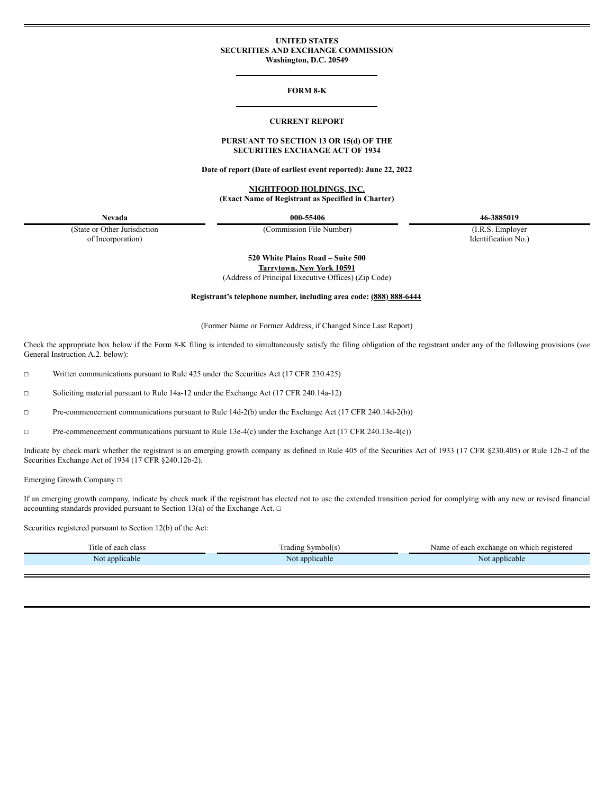## **UNITED STATES SECURITIES AND EXCHANGE COMMISSION Washington, D.C. 20549**

#### **FORM 8-K**

#### **CURRENT REPORT**

## **PURSUANT TO SECTION 13 OR 15(d) OF THE SECURITIES EXCHANGE ACT OF 1934**

**Date of report (Date of earliest event reported): June 22, 2022**

**NIGHTFOOD HOLDINGS, INC. (Exact Name of Registrant as Specified in Charter)**

**Nevada 000-55406 46-3885019**

(State or Other Jurisdiction of Incorporation)

(Commission File Number) (I.R.S. Employer

Identification No.)

**520 White Plains Road – Suite 500**

**Tarrytown, New York 10591** (Address of Principal Executive Offices) (Zip Code)

**Registrant's telephone number, including area code: (888) 888-6444**

(Former Name or Former Address, if Changed Since Last Report)

Check the appropriate box below if the Form 8-K filing is intended to simultaneously satisfy the filing obligation of the registrant under any of the following provisions (*see* General Instruction A.2. below):

☐ Written communications pursuant to Rule 425 under the Securities Act (17 CFR 230.425)

☐ Soliciting material pursuant to Rule 14a-12 under the Exchange Act (17 CFR 240.14a-12)

☐ Pre-commencement communications pursuant to Rule 14d-2(b) under the Exchange Act (17 CFR 240.14d-2(b))

☐ Pre-commencement communications pursuant to Rule 13e-4(c) under the Exchange Act (17 CFR 240.13e-4(c))

Indicate by check mark whether the registrant is an emerging growth company as defined in Rule 405 of the Securities Act of 1933 (17 CFR §230.405) or Rule 12b-2 of the Securities Exchange Act of 1934 (17 CFR §240.12b-2).

Emerging Growth Company ☐

If an emerging growth company, indicate by check mark if the registrant has elected not to use the extended transition period for complying with any new or revised financial accounting standards provided pursuant to Section 13(a) of the Exchange Act.  $□$ 

Securities registered pursuant to Section 12(b) of the Act:

| l'itle<br>-01<br>- 20<br>. Gidos | m.<br>$\sum$<br>adın<br>OKS | egistereo<br>۱۵۳۲<br>exchange<br>on whi<br>. agah<br>vall<br>انتقاب |
|----------------------------------|-----------------------------|---------------------------------------------------------------------|
| * applicable<br>Not              | applicable<br>NΘ            | applicable                                                          |
|                                  |                             |                                                                     |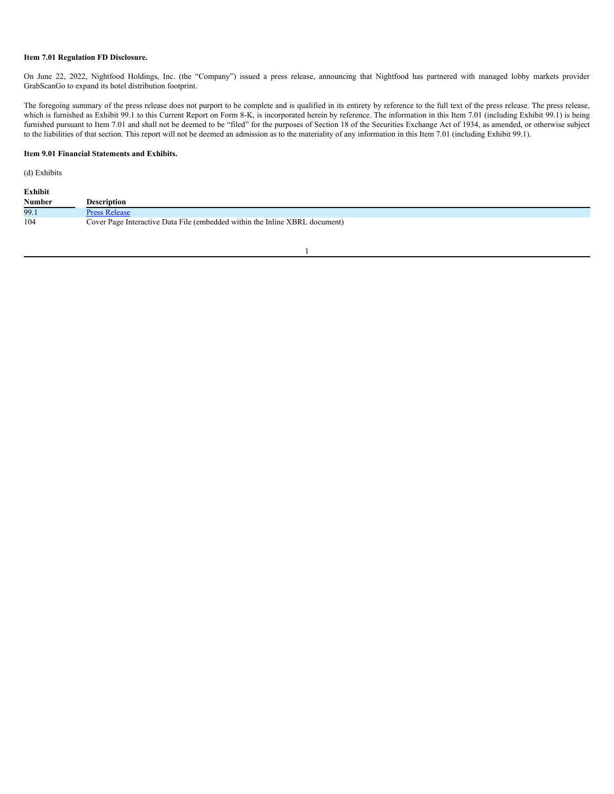#### **Item 7.01 Regulation FD Disclosure.**

On June 22, 2022, Nightfood Holdings, Inc. (the "Company") issued a press release, announcing that Nightfood has partnered with managed lobby markets provider GrabScanGo to expand its hotel distribution footprint.

The foregoing summary of the press release does not purport to be complete and is qualified in its entirety by reference to the full text of the press release. The press release, which is furnished as Exhibit 99.1 to this Current Report on Form 8-K, is incorporated herein by reference. The information in this Item 7.01 (including Exhibit 99.1) is being furnished pursuant to Item 7.01 and shall not be deemed to be "filed" for the purposes of Section 18 of the Securities Exchange Act of 1934, as amended, or otherwise subject to the liabilities of that section. This report will not be deemed an admission as to the materiality of any information in this Item 7.01 (including Exhibit 99.1).

## **Item 9.01 Financial Statements and Exhibits.**

(d) Exhibits

| Exhibit |                                                                             |
|---------|-----------------------------------------------------------------------------|
| Number  | Description                                                                 |
| 99.1    | <b>Press Release</b>                                                        |
| 104     | Cover Page Interactive Data File (embedded within the Inline XBRL document) |

1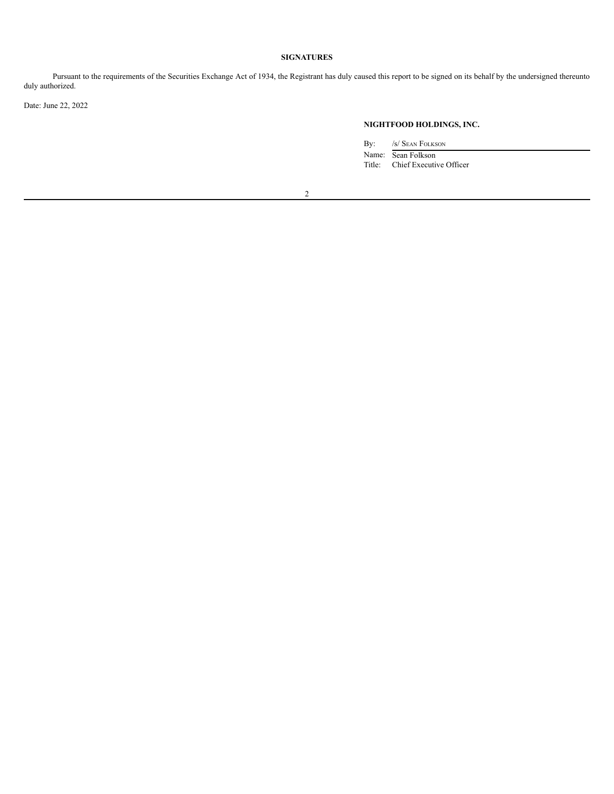# **SIGNATURES**

Pursuant to the requirements of the Securities Exchange Act of 1934, the Registrant has duly caused this report to be signed on its behalf by the undersigned thereunto duly authorized.

Date: June 22, 2022

## **NIGHTFOOD HOLDINGS, INC.**

By: /s/ Sean Folkson

Name: Sean Folkson Title: Chief Executive Officer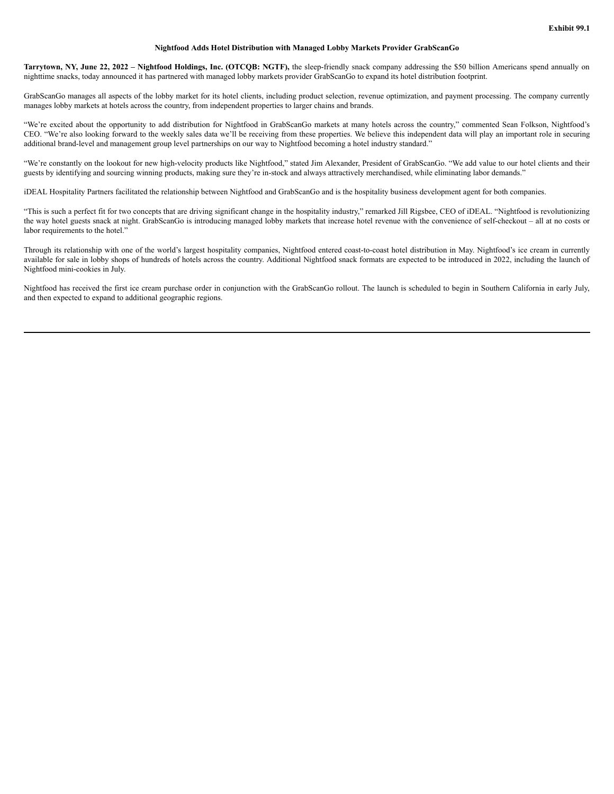## **Nightfood Adds Hotel Distribution with Managed Lobby Markets Provider GrabScanGo**

Tarrytown, NY, June 22, 2022 - Nightfood Holdings, Inc. (OTCQB: NGTF), the sleep-friendly snack company addressing the \$50 billion Americans spend annually on nighttime snacks, today announced it has partnered with managed lobby markets provider GrabScanGo to expand its hotel distribution footprint.

GrabScanGo manages all aspects of the lobby market for its hotel clients, including product selection, revenue optimization, and payment processing. The company currently manages lobby markets at hotels across the country, from independent properties to larger chains and brands.

"We're excited about the opportunity to add distribution for Nightfood in GrabScanGo markets at many hotels across the country," commented Sean Folkson, Nightfood's CEO. "We're also looking forward to the weekly sales data we'll be receiving from these properties. We believe this independent data will play an important role in securing additional brand-level and management group level partnerships on our way to Nightfood becoming a hotel industry standard."

"We're constantly on the lookout for new high-velocity products like Nightfood," stated Jim Alexander, President of GrabScanGo. "We add value to our hotel clients and their guests by identifying and sourcing winning products, making sure they're in-stock and always attractively merchandised, while eliminating labor demands."

iDEAL Hospitality Partners facilitated the relationship between Nightfood and GrabScanGo and is the hospitality business development agent for both companies.

"This is such a perfect fit for two concepts that are driving significant change in the hospitality industry," remarked Jill Rigsbee, CEO of iDEAL. "Nightfood is revolutionizing the way hotel guests snack at night. GrabScanGo is introducing managed lobby markets that increase hotel revenue with the convenience of self-checkout – all at no costs or labor requirements to the hotel."

Through its relationship with one of the world's largest hospitality companies, Nightfood entered coast-to-coast hotel distribution in May. Nightfood's ice cream in currently available for sale in lobby shops of hundreds of hotels across the country. Additional Nightfood snack formats are expected to be introduced in 2022, including the launch of Nightfood mini-cookies in July.

Nightfood has received the first ice cream purchase order in conjunction with the GrabScanGo rollout. The launch is scheduled to begin in Southern California in early July, and then expected to expand to additional geographic regions.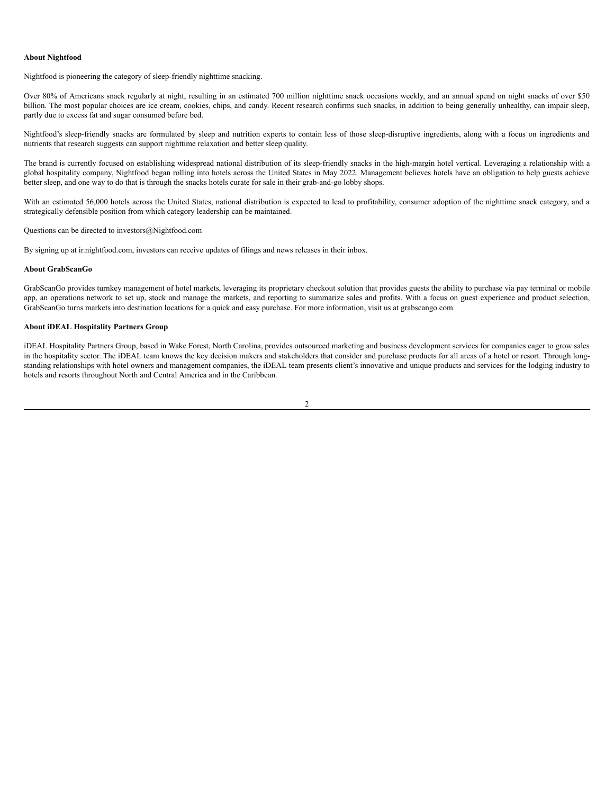### **About Nightfood**

Nightfood is pioneering the category of sleep-friendly nighttime snacking.

Over 80% of Americans snack regularly at night, resulting in an estimated 700 million nighttime snack occasions weekly, and an annual spend on night snacks of over \$50 billion. The most popular choices are ice cream, cookies, chips, and candy. Recent research confirms such snacks, in addition to being generally unhealthy, can impair sleep, partly due to excess fat and sugar consumed before bed.

Nightfood's sleep-friendly snacks are formulated by sleep and nutrition experts to contain less of those sleep-disruptive ingredients, along with a focus on ingredients and nutrients that research suggests can support nighttime relaxation and better sleep quality.

The brand is currently focused on establishing widespread national distribution of its sleep-friendly snacks in the high-margin hotel vertical. Leveraging a relationship with a global hospitality company, Nightfood began rolling into hotels across the United States in May 2022. Management believes hotels have an obligation to help guests achieve better sleep, and one way to do that is through the snacks hotels curate for sale in their grab-and-go lobby shops.

With an estimated 56,000 hotels across the United States, national distribution is expected to lead to profitability, consumer adoption of the nighttime snack category, and a strategically defensible position from which category leadership can be maintained.

Questions can be directed to investors@Nightfood.com

By signing up at ir.nightfood.com, investors can receive updates of filings and news releases in their inbox.

#### **About GrabScanGo**

GrabScanGo provides turnkey management of hotel markets, leveraging its proprietary checkout solution that provides guests the ability to purchase via pay terminal or mobile app, an operations network to set up, stock and manage the markets, and reporting to summarize sales and profits. With a focus on guest experience and product selection, GrabScanGo turns markets into destination locations for a quick and easy purchase. For more information, visit us at grabscango.com.

## **About iDEAL Hospitality Partners Group**

iDEAL Hospitality Partners Group, based in Wake Forest, North Carolina, provides outsourced marketing and business development services for companies eager to grow sales in the hospitality sector. The iDEAL team knows the key decision makers and stakeholders that consider and purchase products for all areas of a hotel or resort. Through longstanding relationships with hotel owners and management companies, the iDEAL team presents client's innovative and unique products and services for the lodging industry to hotels and resorts throughout North and Central America and in the Caribbean.

2